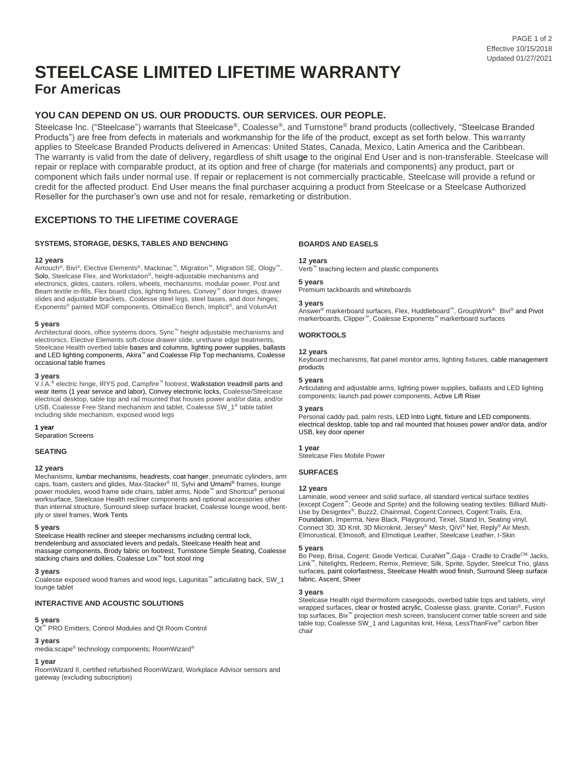# **STEELCASE LIMITED LIFETIME WARRANTY For Americas**

# **YOU CAN DEPEND ON US. OUR PRODUCTS. OUR SERVICES. OUR PEOPLE.**

Steelcase Inc. ("Steelcase") warrants that Steelcase®, Coalesse®, and Turnstone® brand products (collectively, "Steelcase Branded Products") are free from defects in materials and workmanship for the life of the product, except as set forth below. This warranty applies to Steelcase Branded Products delivered in Americas: United States, Canada, Mexico, Latin America and the Caribbean. The warranty is valid from the date of delivery, regardless of shift usage to the original End User and is non-transferable. Steelcase will repair or replace with comparable product, at its option and free of charge (for materials and components) any product, part or component which fails under normal use. If repair or replacement is not commercially practicable, Steelcase will provide a refund or credit for the affected product. End User means the final purchaser acquiring a product from Steelcase or a Steelcase Authorized Reseller for the purchaser's own use and not for resale, remarketing or distribution.

## **EXCEPTIONS TO THE LIFETIME COVERAGE**

## **SYSTEMS, STORAGE, DESKS, TABLES AND BENCHING**

#### **12 years**

Airtouch<sup>®</sup>, Bivi<sup>®</sup>, Elective Elements<sup>®</sup>, Mackinac™, Migration™, Migration SE, Ology™, Solo, Steelcase Flex, and Workstation®, height-adjustable mechanisms and electronics, glides, casters, rollers, wheels, mechanisms, modular power, Post and Beam textile in-fills, Flex board clips, lighting fixtures, Convey™ door hinges, drawer slides and adjustable brackets, Coalesse steel legs, steel bases, and door hinges; Exponents® painted MDF components, OttimaEco Bench, Implicit®, and VolumArt

#### **5 years**

Architectural doors, office systems doors, Sync™ height adjustable mechanisms and electronics, Elective Elements soft-close drawer slide, urethane edge treatments, Steelcase Health overbed table bases and columns, lighting power supplies, ballasts and LED lighting components, Akira™ and Coalesse Flip Top mechanisms, Coalesse occasional table frames

## **3 years**

V.I.A.® electric hinge, IRYS pod, Campfire™ footrest, Walkstation treadmill parts and wear items (1 year service and labor), Convey electronic locks, Coalesse/Steelcase electrical desktop, table top and rail mounted that houses power and/or data, and/or USB, Coalesse Free Stand mechanism and tablet, Coalesse SW\_1® table tablet including slide mechanism, exposed wood legs

#### **1 year**

Separation Screens

#### **SEATING**

## **12 years**

Mechanisms, lumbar mechanisms, headrests, coat hanger, pneumatic cylinders, arm caps, foam, casters and glides, Max-Stacker® III, Sylvi and Umami® frames, lounge power modules, wood frame side chairs, tablet arms, Node™ and Shortcut® personal worksurface, Steelcase Health recliner components and optional accessories other than internal structure, Surround sleep surface bracket, Coalesse lounge wood, bentply or steel frames, Work Tents

#### **5 years**

Steelcase Health recliner and sleeper mechanisms including central lock, trendelenburg and associated levers and pedals, Steelcase Health heat and massage components, Brody fabric on footrest, Turnstone Simple Seating, Coalesse stacking chairs and dollies, Coalesse Lox™ foot stool ring

#### **3 years**

Coalesse exposed wood frames and wood legs, Lagunitas™ articulating back, SW\_1 lounge tablet

## **INTERACTIVE AND ACOUSTIC SOLUTIONS**

#### **5 years**

Qt<sup>™</sup> PRO Emitters, Control Modules and Qt Room Control

#### **3 years**

media:scape® technology components; RoomWizard®

## **1 year**

RoomWizard II, certified refurbished RoomWizard, Workplace Advisor sensors and gateway (excluding subscription)

#### **BOARDS AND EASELS**

#### **12 years**

Verb™ teaching lectern and plastic components

#### **5 years**

Premium tackboards and whiteboards

#### **3 years**

Answer® markerboard surfaces, Flex, Huddleboard™, GroupWork®, Bivi® and Pivot markerboards, Clipper™, Coalesse Exponents™ markerboard surfaces

## **WORKTOOLS**

## **12 years**

Keyboard mechanisms, flat panel monitor arms, lighting fixtures, cable management products

#### **5 years**

Articulating and adjustable arms, lighting power supplies, ballasts and LED lighting components; launch pad power components, Active Lift Riser

#### **3 years**

Personal caddy pad, palm rests, LED Intro Light, fixture and LED components. electrical desktop, table top and rail mounted that houses power and/or data, and/or USB, key door opener

#### **1 year**

Steelcase Flex Mobile Power

#### **SURFACES**

#### **12 years**

Laminate, wood veneer and solid surface, all standard vertical surface textiles (except Cogent™: Geode and Sprite) and the following seating textiles: Billiard Multi-Use by Designtex®, Buzz2, Chainmail, Cogent:Connect, Cogent:Trails, Era, Foundation, Imperma, New Black, Playground, Texel, Stand In, Seating vinyl, Connect 3D, 3D Knit, 3D Microknit, Jersey® Mesh, QiVi® Net, Reply® Air Mesh, Elmorustical, Elmosoft, and Elmotique Leather, Steelcase Leather, I-Skin

#### **5 years**

Bo Peep, Brisa, Cogent: Geode Vertical, CuraNet<sup>™</sup>, Gaja - Cradle to Cradle<sup>CM,</sup> Jacks, Link™, Nitelights, Redeem, Remix, Retrieve; Silk, Sprite, Spyder, Steelcut Trio, glass surfaces, paint colorfastness, Steelcase Health wood finish, Surround Sleep surface fabric, Ascent, Sheer

#### **3 years**

Steelcase Health rigid thermoform casegoods, overbed table tops and tablets, vinyl wrapped surfaces, clear or frosted acrylic, Coalesse glass, granite, Corian®, Fusion top surfaces, Bix™ projection mesh screen, translucent corner table screen and side table top; Coalesse SW\_1 and Lagunitas knit, Hexa, LessThanFive® carbon fiber chair